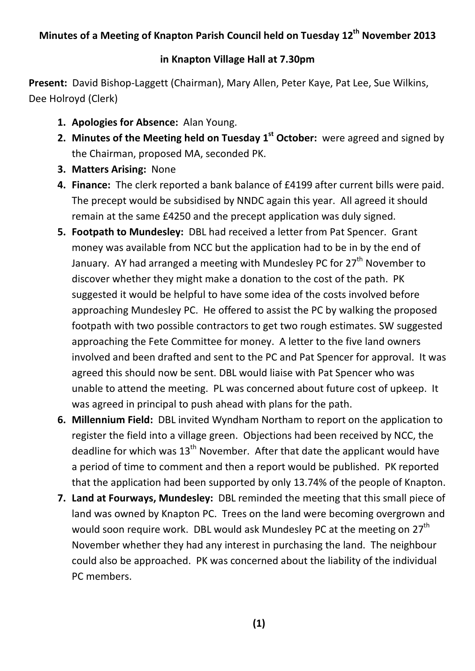## **in Knapton Village Hall at 7.30pm**

**Present:** David Bishop-Laggett (Chairman), Mary Allen, Peter Kaye, Pat Lee, Sue Wilkins, Dee Holroyd (Clerk)

- **1. Apologies for Absence:** Alan Young.
- **2. Minutes of the Meeting held on Tuesday 1st October:** were agreed and signed by the Chairman, proposed MA, seconded PK.
- **3. Matters Arising:** None
- **4. Finance:** The clerk reported a bank balance of £4199 after current bills were paid. The precept would be subsidised by NNDC again this year. All agreed it should remain at the same £4250 and the precept application was duly signed.
- **5. Footpath to Mundesley:** DBL had received a letter from Pat Spencer. Grant money was available from NCC but the application had to be in by the end of January. AY had arranged a meeting with Mundesley PC for 27<sup>th</sup> November to discover whether they might make a donation to the cost of the path. PK suggested it would be helpful to have some idea of the costs involved before approaching Mundesley PC. He offered to assist the PC by walking the proposed footpath with two possible contractors to get two rough estimates. SW suggested approaching the Fete Committee for money. A letter to the five land owners involved and been drafted and sent to the PC and Pat Spencer for approval. It was agreed this should now be sent. DBL would liaise with Pat Spencer who was unable to attend the meeting. PL was concerned about future cost of upkeep. It was agreed in principal to push ahead with plans for the path.
- **6. Millennium Field:** DBL invited Wyndham Northam to report on the application to register the field into a village green. Objections had been received by NCC, the deadline for which was  $13<sup>th</sup>$  November. After that date the applicant would have a period of time to comment and then a report would be published. PK reported that the application had been supported by only 13.74% of the people of Knapton.
- **7. Land at Fourways, Mundesley:** DBL reminded the meeting that this small piece of land was owned by Knapton PC. Trees on the land were becoming overgrown and would soon require work. DBL would ask Mundesley PC at the meeting on 27<sup>th</sup> November whether they had any interest in purchasing the land. The neighbour could also be approached. PK was concerned about the liability of the individual PC members.